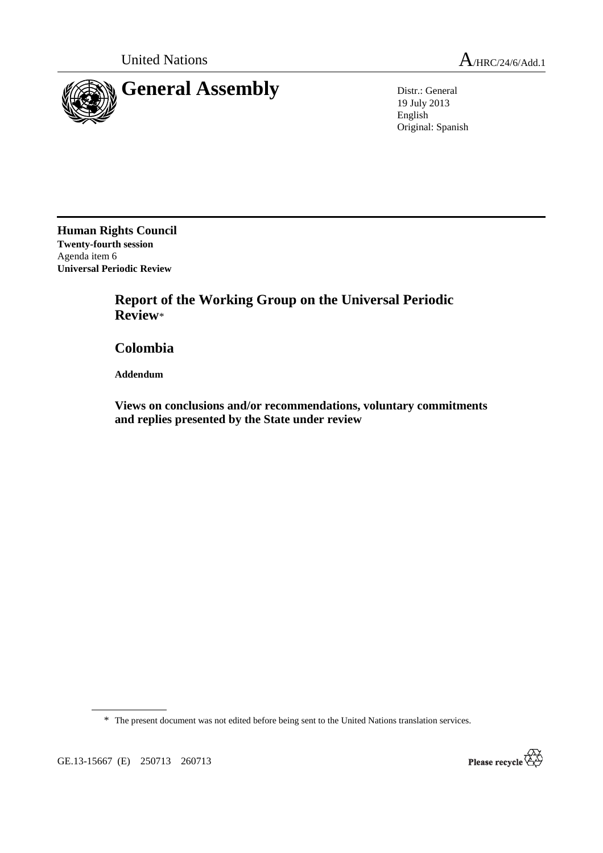

19 July 2013 English Original: Spanish

**Human Rights Council Twenty-fourth session**  Agenda item 6 **Universal Periodic Review** 

> **Report of the Working Group on the Universal Periodic Review**\*

 **Colombia** 

 **Addendum** 

 **Views on conclusions and/or recommendations, voluntary commitments and replies presented by the State under review** 

\* The present document was not edited before being sent to the United Nations translation services.

GE.13-15667 (E) 250713 260713

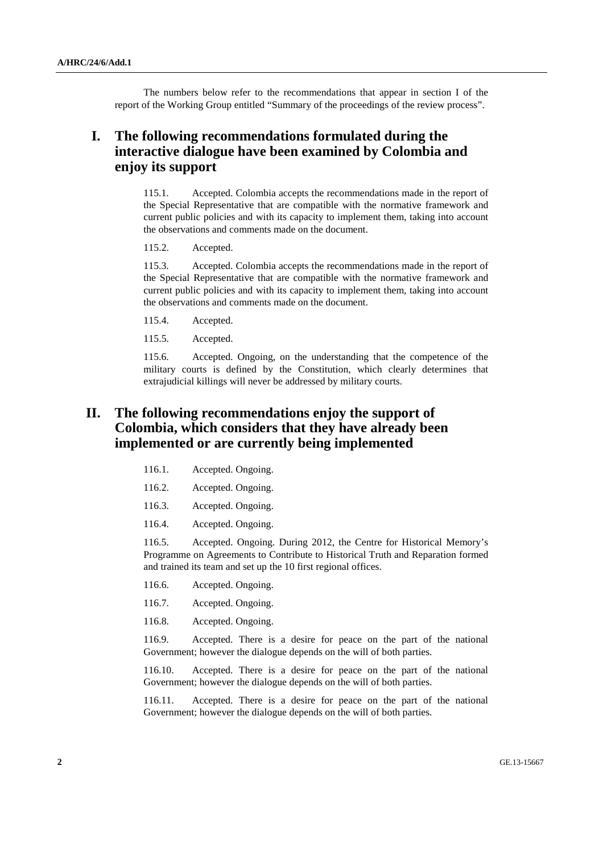The numbers below refer to the recommendations that appear in section I of the report of the Working Group entitled "Summary of the proceedings of the review process".

## **I. The following recommendations formulated during the interactive dialogue have been examined by Colombia and enjoy its support**

115.1. Accepted. Colombia accepts the recommendations made in the report of the Special Representative that are compatible with the normative framework and current public policies and with its capacity to implement them, taking into account the observations and comments made on the document.

115.2. Accepted.

115.3. Accepted. Colombia accepts the recommendations made in the report of the Special Representative that are compatible with the normative framework and current public policies and with its capacity to implement them, taking into account the observations and comments made on the document.

- 115.4. Accepted.
- 115.5. Accepted.

115.6. Accepted. Ongoing, on the understanding that the competence of the military courts is defined by the Constitution, which clearly determines that extrajudicial killings will never be addressed by military courts.

## **II. The following recommendations enjoy the support of Colombia, which considers that they have already been implemented or are currently being implemented**

- 116.1. Accepted. Ongoing.
- 116.2. Accepted. Ongoing.
- 116.3. Accepted. Ongoing.
- 116.4. Accepted. Ongoing.

116.5. Accepted. Ongoing. During 2012, the Centre for Historical Memory's Programme on Agreements to Contribute to Historical Truth and Reparation formed and trained its team and set up the 10 first regional offices.

- 116.6. Accepted. Ongoing.
- 116.7. Accepted. Ongoing.
- 116.8. Accepted. Ongoing.

116.9. Accepted. There is a desire for peace on the part of the national Government; however the dialogue depends on the will of both parties.

116.10. Accepted. There is a desire for peace on the part of the national Government; however the dialogue depends on the will of both parties.

116.11. Accepted. There is a desire for peace on the part of the national Government; however the dialogue depends on the will of both parties.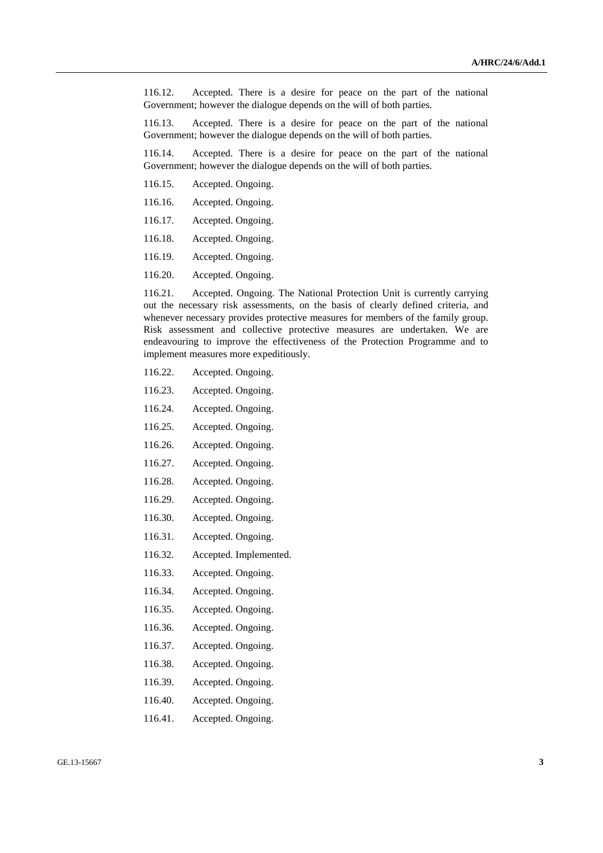116.12. Accepted. There is a desire for peace on the part of the national Government; however the dialogue depends on the will of both parties.

116.13. Accepted. There is a desire for peace on the part of the national Government; however the dialogue depends on the will of both parties.

116.14. Accepted. There is a desire for peace on the part of the national Government; however the dialogue depends on the will of both parties.

- 116.15. Accepted. Ongoing.
- 116.16. Accepted. Ongoing.
- 116.17. Accepted. Ongoing.
- 116.18. Accepted. Ongoing.
- 116.19. Accepted. Ongoing.
- 116.20. Accepted. Ongoing.

116.21. Accepted. Ongoing. The National Protection Unit is currently carrying out the necessary risk assessments, on the basis of clearly defined criteria, and whenever necessary provides protective measures for members of the family group. Risk assessment and collective protective measures are undertaken. We are endeavouring to improve the effectiveness of the Protection Programme and to implement measures more expeditiously.

- 116.22. Accepted. Ongoing.
- 116.23. Accepted. Ongoing.
- 116.24. Accepted. Ongoing.
- 116.25. Accepted. Ongoing.
- 116.26. Accepted. Ongoing.
- 116.27. Accepted. Ongoing.
- 116.28. Accepted. Ongoing.
- 116.29. Accepted. Ongoing.
- 116.30. Accepted. Ongoing.
- 116.31. Accepted. Ongoing.
- 116.32. Accepted. Implemented.
- 116.33. Accepted. Ongoing.
- 116.34. Accepted. Ongoing.
- 116.35. Accepted. Ongoing.
- 116.36. Accepted. Ongoing.
- 116.37. Accepted. Ongoing.
- 116.38. Accepted. Ongoing.
- 116.39. Accepted. Ongoing.
- 116.40. Accepted. Ongoing.
- 116.41. Accepted. Ongoing.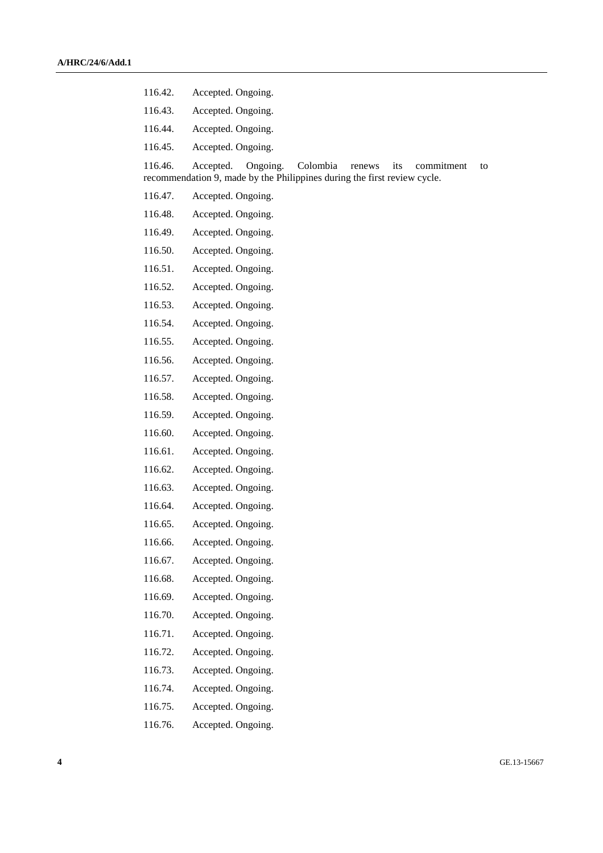- 116.42. Accepted. Ongoing.
- 116.43. Accepted. Ongoing.
- 116.44. Accepted. Ongoing.
- 116.45. Accepted. Ongoing.

116.46. Accepted. Ongoing. Colombia renews its commitment to recommendation 9, made by the Philippines during the first review cycle.

- 116.47. Accepted. Ongoing.
- 116.48. Accepted. Ongoing.
- 116.49. Accepted. Ongoing.
- 116.50. Accepted. Ongoing.
- 116.51. Accepted. Ongoing.
- 116.52. Accepted. Ongoing.
- 116.53. Accepted. Ongoing.
- 116.54. Accepted. Ongoing.
- 116.55. Accepted. Ongoing.
- 116.56. Accepted. Ongoing.
- 116.57. Accepted. Ongoing.
- 116.58. Accepted. Ongoing.
- 116.59. Accepted. Ongoing.
- 116.60. Accepted. Ongoing.
- 116.61. Accepted. Ongoing.
- 116.62. Accepted. Ongoing.
- 116.63. Accepted. Ongoing.
- 116.64. Accepted. Ongoing.
- 116.65. Accepted. Ongoing.
- 116.66. Accepted. Ongoing.
- 116.67. Accepted. Ongoing.
- 116.68. Accepted. Ongoing.
- 116.69. Accepted. Ongoing.
- 116.70. Accepted. Ongoing.
- 116.71. Accepted. Ongoing.
- 116.72. Accepted. Ongoing.
- 116.73. Accepted. Ongoing.
- 116.74. Accepted. Ongoing.
- 116.75. Accepted. Ongoing.
- 116.76. Accepted. Ongoing.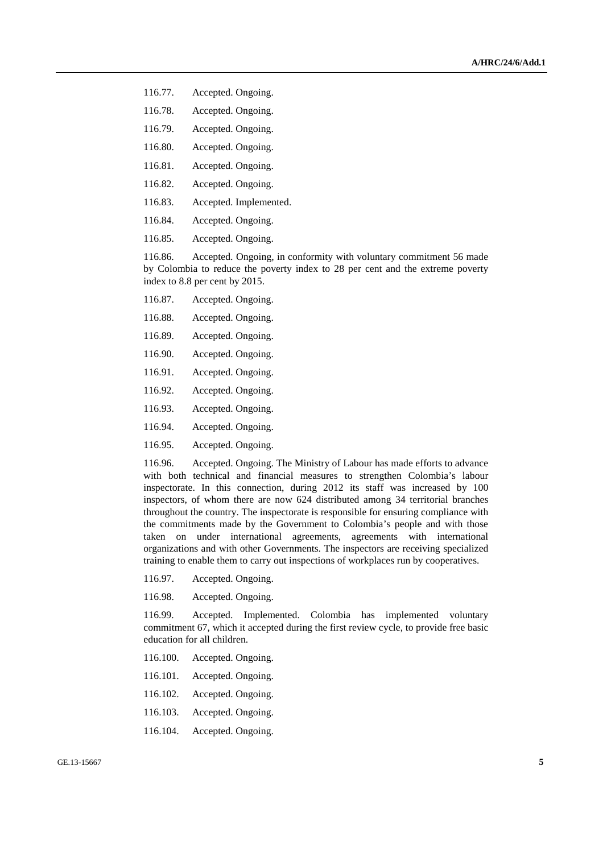- 116.77. Accepted. Ongoing.
- 116.78. Accepted. Ongoing.
- 116.79. Accepted. Ongoing.
- 116.80. Accepted. Ongoing.
- 116.81. Accepted. Ongoing.
- 116.82. Accepted. Ongoing.
- 116.83. Accepted. Implemented.
- 116.84. Accepted. Ongoing.
- 116.85. Accepted. Ongoing.

116.86. Accepted. Ongoing, in conformity with voluntary commitment 56 made by Colombia to reduce the poverty index to 28 per cent and the extreme poverty index to 8.8 per cent by 2015.

- 116.87. Accepted. Ongoing.
- 116.88. Accepted. Ongoing.
- 116.89. Accepted. Ongoing.
- 116.90. Accepted. Ongoing.
- 116.91. Accepted. Ongoing.
- 116.92. Accepted. Ongoing.
- 116.93. Accepted. Ongoing.
- 116.94. Accepted. Ongoing.
- 116.95. Accepted. Ongoing.

116.96. Accepted. Ongoing. The Ministry of Labour has made efforts to advance with both technical and financial measures to strengthen Colombia's labour inspectorate. In this connection, during 2012 its staff was increased by 100 inspectors, of whom there are now 624 distributed among 34 territorial branches throughout the country. The inspectorate is responsible for ensuring compliance with the commitments made by the Government to Colombia's people and with those taken on under international agreements, agreements with international organizations and with other Governments. The inspectors are receiving specialized training to enable them to carry out inspections of workplaces run by cooperatives.

116.97. Accepted. Ongoing.

116.98. Accepted. Ongoing.

116.99. Accepted. Implemented. Colombia has implemented voluntary commitment 67, which it accepted during the first review cycle, to provide free basic education for all children.

- 116.100. Accepted. Ongoing.
- 116.101. Accepted. Ongoing.
- 116.102. Accepted. Ongoing.
- 116.103. Accepted. Ongoing.
- 116.104. Accepted. Ongoing.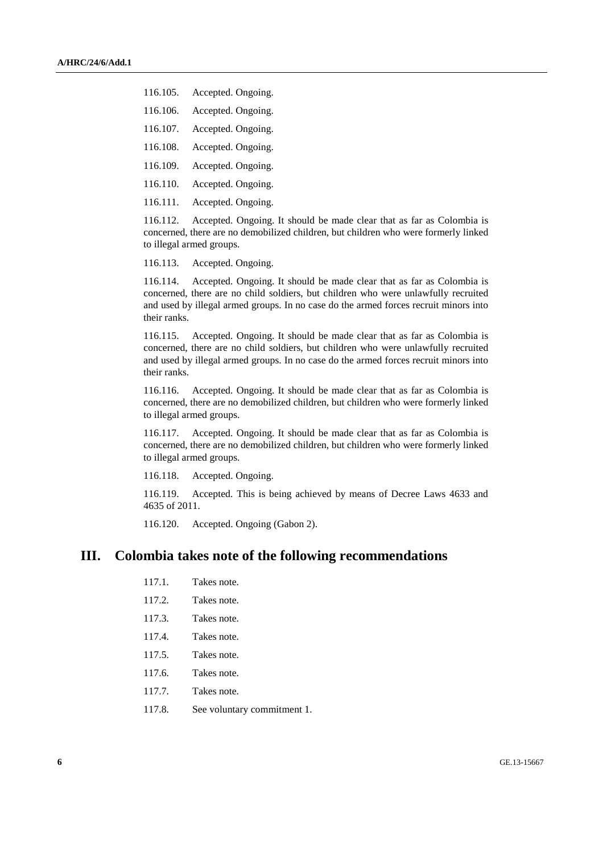- 116.105. Accepted. Ongoing.
- 116.106. Accepted. Ongoing.
- 116.107. Accepted. Ongoing.
- 116.108. Accepted. Ongoing.
- 116.109. Accepted. Ongoing.
- 116.110. Accepted. Ongoing.
- 116.111. Accepted. Ongoing.

116.112. Accepted. Ongoing. It should be made clear that as far as Colombia is concerned, there are no demobilized children, but children who were formerly linked to illegal armed groups.

116.113. Accepted. Ongoing.

116.114. Accepted. Ongoing. It should be made clear that as far as Colombia is concerned, there are no child soldiers, but children who were unlawfully recruited and used by illegal armed groups. In no case do the armed forces recruit minors into their ranks.

116.115. Accepted. Ongoing. It should be made clear that as far as Colombia is concerned, there are no child soldiers, but children who were unlawfully recruited and used by illegal armed groups. In no case do the armed forces recruit minors into their ranks.

116.116. Accepted. Ongoing. It should be made clear that as far as Colombia is concerned, there are no demobilized children, but children who were formerly linked to illegal armed groups.

116.117. Accepted. Ongoing. It should be made clear that as far as Colombia is concerned, there are no demobilized children, but children who were formerly linked to illegal armed groups.

116.118. Accepted. Ongoing.

116.119. Accepted. This is being achieved by means of Decree Laws 4633 and 4635 of 2011.

116.120. Accepted. Ongoing (Gabon 2).

## **III. Colombia takes note of the following recommendations**

- 117.1. Takes note.
- 117.2. Takes note.
- 117.3. Takes note.
- 117.4. Takes note.
- 117.5. Takes note.
- 117.6. Takes note.
- 117.7. Takes note.
- 117.8. See voluntary commitment 1.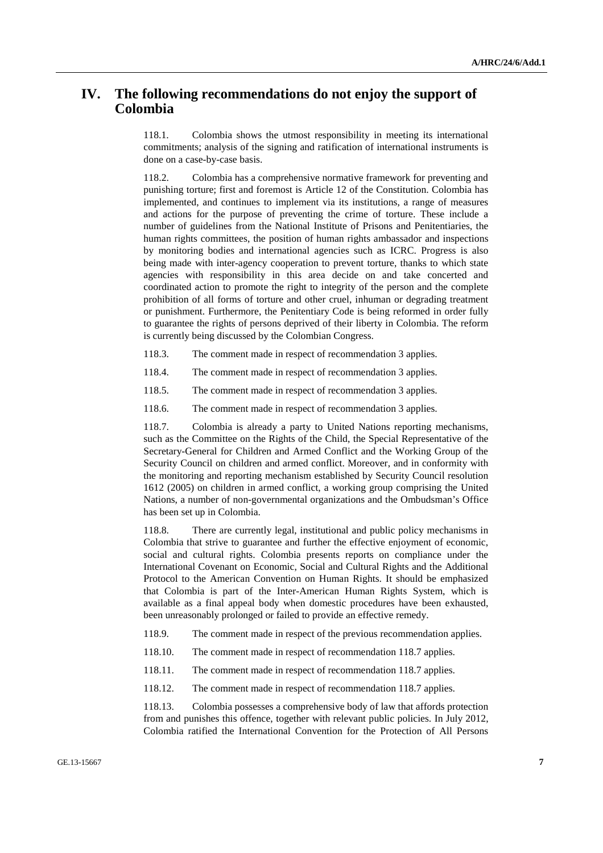## **IV. The following recommendations do not enjoy the support of Colombia**

118.1. Colombia shows the utmost responsibility in meeting its international commitments; analysis of the signing and ratification of international instruments is done on a case-by-case basis.

118.2. Colombia has a comprehensive normative framework for preventing and punishing torture; first and foremost is Article 12 of the Constitution. Colombia has implemented, and continues to implement via its institutions, a range of measures and actions for the purpose of preventing the crime of torture. These include a number of guidelines from the National Institute of Prisons and Penitentiaries, the human rights committees, the position of human rights ambassador and inspections by monitoring bodies and international agencies such as ICRC. Progress is also being made with inter-agency cooperation to prevent torture, thanks to which state agencies with responsibility in this area decide on and take concerted and coordinated action to promote the right to integrity of the person and the complete prohibition of all forms of torture and other cruel, inhuman or degrading treatment or punishment. Furthermore, the Penitentiary Code is being reformed in order fully to guarantee the rights of persons deprived of their liberty in Colombia. The reform is currently being discussed by the Colombian Congress.

- 118.3. The comment made in respect of recommendation 3 applies.
- 118.4. The comment made in respect of recommendation 3 applies.
- 118.5. The comment made in respect of recommendation 3 applies.
- 118.6. The comment made in respect of recommendation 3 applies.

118.7. Colombia is already a party to United Nations reporting mechanisms, such as the Committee on the Rights of the Child, the Special Representative of the Secretary-General for Children and Armed Conflict and the Working Group of the Security Council on children and armed conflict. Moreover, and in conformity with the monitoring and reporting mechanism established by Security Council resolution 1612 (2005) on children in armed conflict, a working group comprising the United Nations, a number of non-governmental organizations and the Ombudsman's Office has been set up in Colombia.

118.8. There are currently legal, institutional and public policy mechanisms in Colombia that strive to guarantee and further the effective enjoyment of economic, social and cultural rights. Colombia presents reports on compliance under the International Covenant on Economic, Social and Cultural Rights and the Additional Protocol to the American Convention on Human Rights. It should be emphasized that Colombia is part of the Inter-American Human Rights System, which is available as a final appeal body when domestic procedures have been exhausted, been unreasonably prolonged or failed to provide an effective remedy.

- 118.9. The comment made in respect of the previous recommendation applies.
- 118.10. The comment made in respect of recommendation 118.7 applies.
- 118.11. The comment made in respect of recommendation 118.7 applies.
- 118.12. The comment made in respect of recommendation 118.7 applies.

118.13. Colombia possesses a comprehensive body of law that affords protection from and punishes this offence, together with relevant public policies. In July 2012, Colombia ratified the International Convention for the Protection of All Persons